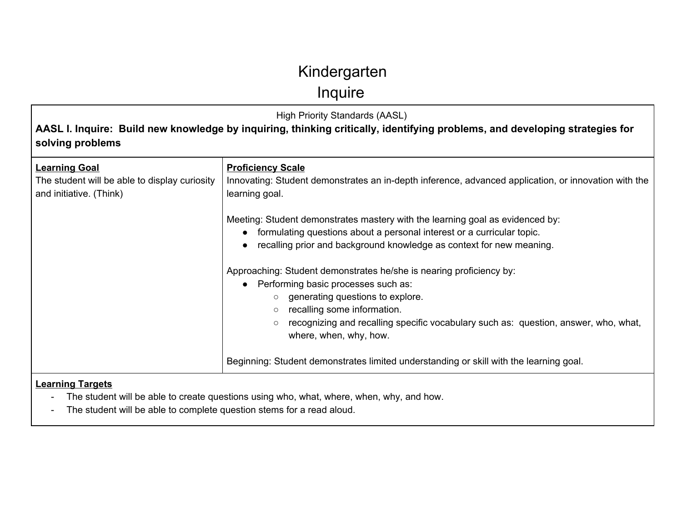Inquire

High Priority Standards (AASL)

**AASL I. Inquire: Build new knowledge by inquiring, thinking critically, identifying problems, and developing strategies for solving problems**

| <b>Learning Goal</b><br>The student will be able to display curiosity<br>and initiative. (Think) | <b>Proficiency Scale</b><br>Innovating: Student demonstrates an in-depth inference, advanced application, or innovation with the<br>learning goal.                                                                                                                                                                                        |
|--------------------------------------------------------------------------------------------------|-------------------------------------------------------------------------------------------------------------------------------------------------------------------------------------------------------------------------------------------------------------------------------------------------------------------------------------------|
|                                                                                                  | Meeting: Student demonstrates mastery with the learning goal as evidenced by:<br>formulating questions about a personal interest or a curricular topic.<br>$\bullet$<br>recalling prior and background knowledge as context for new meaning.<br>$\bullet$                                                                                 |
|                                                                                                  | Approaching: Student demonstrates he/she is nearing proficiency by:<br>Performing basic processes such as:<br>$\bullet$<br>$\circ$ generating questions to explore.<br>recalling some information.<br>$\circ$<br>recognizing and recalling specific vocabulary such as: question, answer, who, what,<br>$\circ$<br>where, when, why, how. |
|                                                                                                  | Beginning: Student demonstrates limited understanding or skill with the learning goal.                                                                                                                                                                                                                                                    |
| Loarning Targote                                                                                 |                                                                                                                                                                                                                                                                                                                                           |

#### **Learning Targets**

- The student will be able to create questions using who, what, where, when, why, and how.

- The student will be able to complete question stems for a read aloud.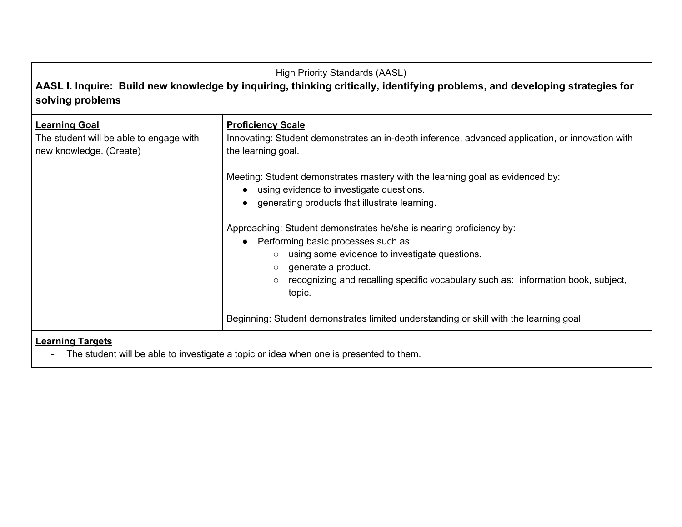### High Priority Standards (AASL) **AASL I. Inquire: Build new knowledge by inquiring, thinking critically, identifying problems, and developing strategies for**

### **solving problems**

| <b>Learning Goal</b><br>The student will be able to engage with<br>new knowledge. (Create) | <b>Proficiency Scale</b><br>Innovating: Student demonstrates an in-depth inference, advanced application, or innovation with<br>the learning goal.                                                                                                                                                                             |
|--------------------------------------------------------------------------------------------|--------------------------------------------------------------------------------------------------------------------------------------------------------------------------------------------------------------------------------------------------------------------------------------------------------------------------------|
|                                                                                            | Meeting: Student demonstrates mastery with the learning goal as evidenced by:<br>using evidence to investigate questions.<br>generating products that illustrate learning.                                                                                                                                                     |
|                                                                                            | Approaching: Student demonstrates he/she is nearing proficiency by:<br>Performing basic processes such as:<br>using some evidence to investigate questions.<br>$\circ$<br>generate a product.<br>$\circ$<br>recognizing and recalling specific vocabulary such as: information book, subject,<br>$\circlearrowright$<br>topic. |
|                                                                                            | Beginning: Student demonstrates limited understanding or skill with the learning goal                                                                                                                                                                                                                                          |
| <b>Learning Targets</b>                                                                    |                                                                                                                                                                                                                                                                                                                                |

- The student will be able to investigate a topic or idea when one is presented to them.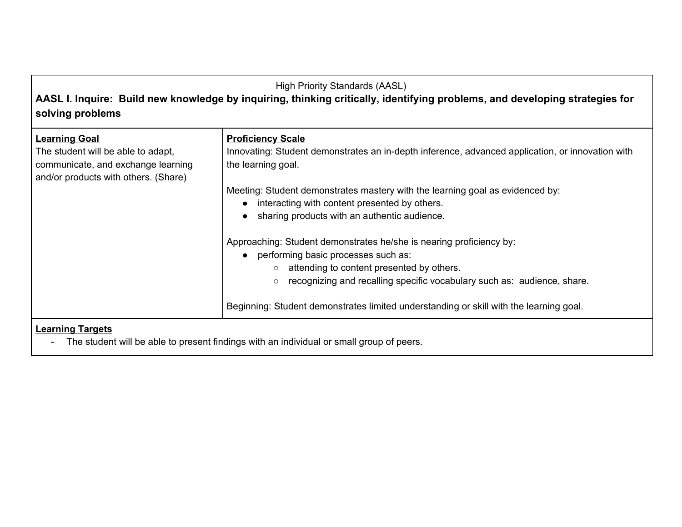### High Priority Standards (AASL)

### **AASL I. Inquire: Build new knowledge by inquiring, thinking critically, identifying problems, and developing strategies for solving problems**

| <b>Learning Goal</b><br>The student will be able to adapt,<br>communicate, and exchange learning<br>and/or products with others. (Share) | <b>Proficiency Scale</b><br>Innovating: Student demonstrates an in-depth inference, advanced application, or innovation with<br>the learning goal. |
|------------------------------------------------------------------------------------------------------------------------------------------|----------------------------------------------------------------------------------------------------------------------------------------------------|
|                                                                                                                                          | Meeting: Student demonstrates mastery with the learning goal as evidenced by:                                                                      |
|                                                                                                                                          | interacting with content presented by others.<br>$\bullet$                                                                                         |
|                                                                                                                                          | sharing products with an authentic audience.                                                                                                       |
|                                                                                                                                          | Approaching: Student demonstrates he/she is nearing proficiency by:                                                                                |
|                                                                                                                                          | performing basic processes such as:<br>$\bullet$                                                                                                   |
|                                                                                                                                          | attending to content presented by others.<br>$\circ$                                                                                               |
|                                                                                                                                          | recognizing and recalling specific vocabulary such as: audience, share.<br>$\circlearrowright$                                                     |
|                                                                                                                                          | Beginning: Student demonstrates limited understanding or skill with the learning goal.                                                             |
| <b>Learning Targets</b>                                                                                                                  |                                                                                                                                                    |

- The student will be able to present findings with an individual or small group of peers.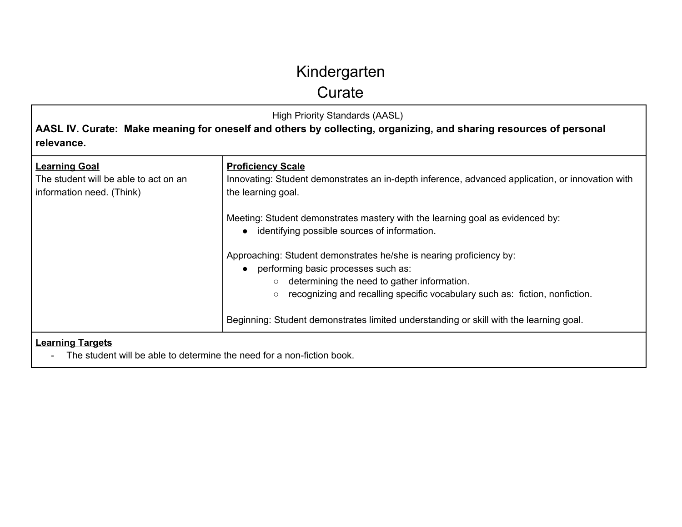**Curate** 

High Priority Standards (AASL)

**AASL IV. Curate: Make meaning for oneself and others by collecting, organizing, and sharing resources of personal relevance.**

| <b>Learning Goal</b><br>The student will be able to act on an<br>information need. (Think)       | <b>Proficiency Scale</b><br>Innovating: Student demonstrates an in-depth inference, advanced application, or innovation with<br>the learning goal.                                                                                                          |
|--------------------------------------------------------------------------------------------------|-------------------------------------------------------------------------------------------------------------------------------------------------------------------------------------------------------------------------------------------------------------|
|                                                                                                  | Meeting: Student demonstrates mastery with the learning goal as evidenced by:<br>identifying possible sources of information.                                                                                                                               |
|                                                                                                  | Approaching: Student demonstrates he/she is nearing proficiency by:<br>performing basic processes such as:<br>$\circ$ determining the need to gather information.<br>recognizing and recalling specific vocabulary such as: fiction, nonfiction.<br>$\circ$ |
|                                                                                                  | Beginning: Student demonstrates limited understanding or skill with the learning goal.                                                                                                                                                                      |
| <b>Learning Targets</b><br>The student will be able to determine the need for a nen fiction book |                                                                                                                                                                                                                                                             |

- The student will be able to determine the need for a non-fiction book.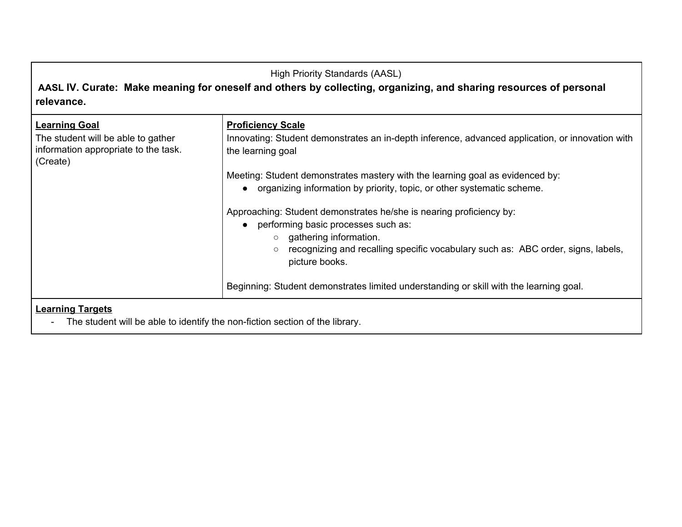### High Priority Standards (AASL) **AASL IV. Curate: Make meaning for oneself and others by collecting, organizing, and sharing resources of personal relevance. Learning Goal** The student will be able to gather information appropriate to the task. (Create) **Proficiency Scale** Innovating: Student demonstrates an in-depth inference, advanced application, or innovation with the learning goal Meeting: Student demonstrates mastery with the learning goal as evidenced by: ● organizing information by priority, topic, or other systematic scheme. Approaching: Student demonstrates he/she is nearing proficiency by: • performing basic processes such as: ○ gathering information. ○ recognizing and recalling specific vocabulary such as: ABC order, signs, labels, picture books. Beginning: Student demonstrates limited understanding or skill with the learning goal. **Learning Targets** - The student will be able to identify the non-fiction section of the library.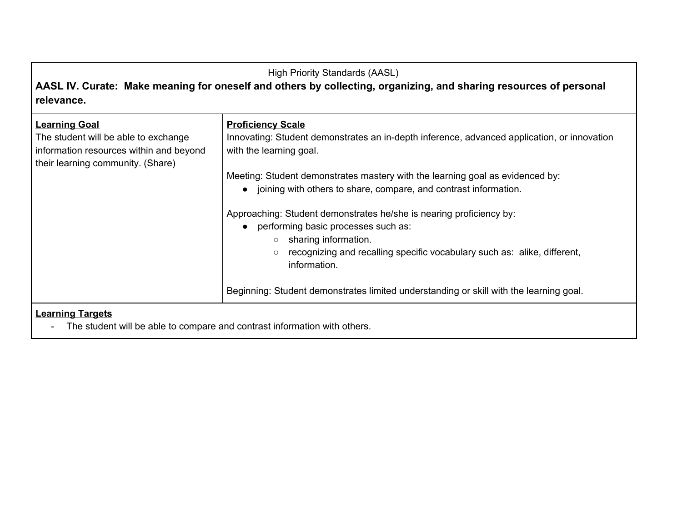### High Priority Standards (AASL)

**AASL IV. Curate: Make meaning for oneself and others by collecting, organizing, and sharing resources of personal relevance.**

| <b>Learning Goal</b><br>The student will be able to exchange<br>information resources within and beyond<br>their learning community. (Share) | <b>Proficiency Scale</b><br>Innovating: Student demonstrates an in-depth inference, advanced application, or innovation<br>with the learning goal.                                                                                                                            |
|----------------------------------------------------------------------------------------------------------------------------------------------|-------------------------------------------------------------------------------------------------------------------------------------------------------------------------------------------------------------------------------------------------------------------------------|
|                                                                                                                                              | Meeting: Student demonstrates mastery with the learning goal as evidenced by:                                                                                                                                                                                                 |
|                                                                                                                                              | • joining with others to share, compare, and contrast information.                                                                                                                                                                                                            |
|                                                                                                                                              | Approaching: Student demonstrates he/she is nearing proficiency by:<br>performing basic processes such as:<br>$\bullet$<br>sharing information.<br>$\circ$<br>recognizing and recalling specific vocabulary such as: alike, different,<br>$\circlearrowright$<br>information. |
|                                                                                                                                              | Beginning: Student demonstrates limited understanding or skill with the learning goal.                                                                                                                                                                                        |
| <b>Learning Targets</b><br>The student will be able to compare and contrast information with others.                                         |                                                                                                                                                                                                                                                                               |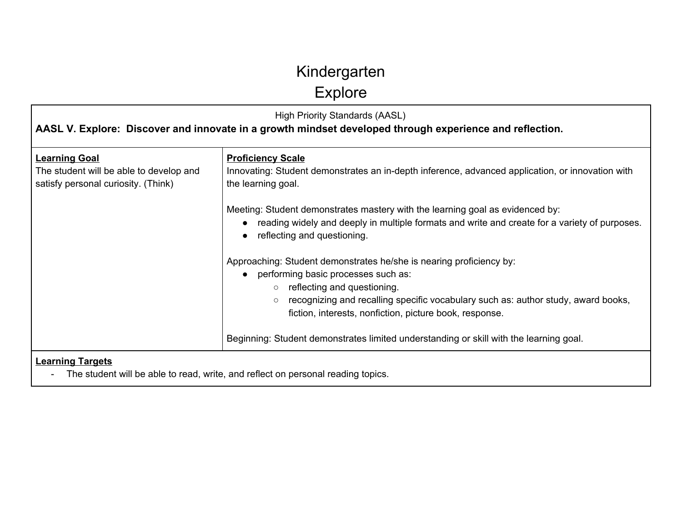**Explore** 

| <b>High Priority Standards (AASL)</b><br>AASL V. Explore: Discover and innovate in a growth mindset developed through experience and reflection. |                                                                                                                                                                                                                                                                                                              |
|--------------------------------------------------------------------------------------------------------------------------------------------------|--------------------------------------------------------------------------------------------------------------------------------------------------------------------------------------------------------------------------------------------------------------------------------------------------------------|
| <b>Learning Goal</b><br>The student will be able to develop and<br>satisfy personal curiosity. (Think)                                           | <b>Proficiency Scale</b><br>Innovating: Student demonstrates an in-depth inference, advanced application, or innovation with<br>the learning goal.                                                                                                                                                           |
|                                                                                                                                                  | Meeting: Student demonstrates mastery with the learning goal as evidenced by:<br>reading widely and deeply in multiple formats and write and create for a variety of purposes.<br>reflecting and questioning.                                                                                                |
|                                                                                                                                                  | Approaching: Student demonstrates he/she is nearing proficiency by:<br>performing basic processes such as:<br>$\circ$ reflecting and questioning.<br>recognizing and recalling specific vocabulary such as: author study, award books,<br>$\circ$<br>fiction, interests, nonfiction, picture book, response. |
|                                                                                                                                                  | Beginning: Student demonstrates limited understanding or skill with the learning goal.                                                                                                                                                                                                                       |
| <b>Learning Targets</b>                                                                                                                          | The student will be able to read, write, and reflect on personal reading topics.                                                                                                                                                                                                                             |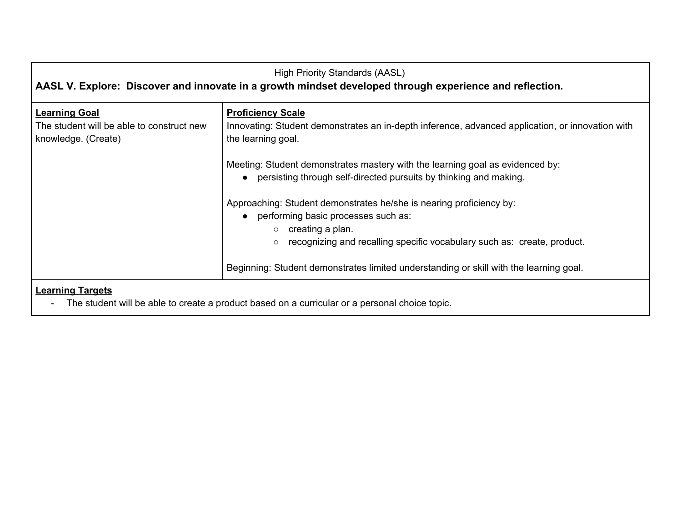| <b>High Priority Standards (AASL)</b><br>AASL V. Explore: Discover and innovate in a growth mindset developed through experience and reflection. |                                                                                                                                                                                                                                   |
|--------------------------------------------------------------------------------------------------------------------------------------------------|-----------------------------------------------------------------------------------------------------------------------------------------------------------------------------------------------------------------------------------|
| <b>Learning Goal</b><br>The student will be able to construct new<br>knowledge. (Create)                                                         | <b>Proficiency Scale</b><br>Innovating: Student demonstrates an in-depth inference, advanced application, or innovation with<br>the learning goal.                                                                                |
|                                                                                                                                                  | Meeting: Student demonstrates mastery with the learning goal as evidenced by:<br>• persisting through self-directed pursuits by thinking and making.                                                                              |
|                                                                                                                                                  | Approaching: Student demonstrates he/she is nearing proficiency by:<br>• performing basic processes such as:<br>creating a plan.<br>$\circ$<br>recognizing and recalling specific vocabulary such as: create, product.<br>$\circ$ |
|                                                                                                                                                  | Beginning: Student demonstrates limited understanding or skill with the learning goal.                                                                                                                                            |
| <b>Learning Targets</b>                                                                                                                          |                                                                                                                                                                                                                                   |

- The student will be able to create a product based on a curricular or a personal choice topic.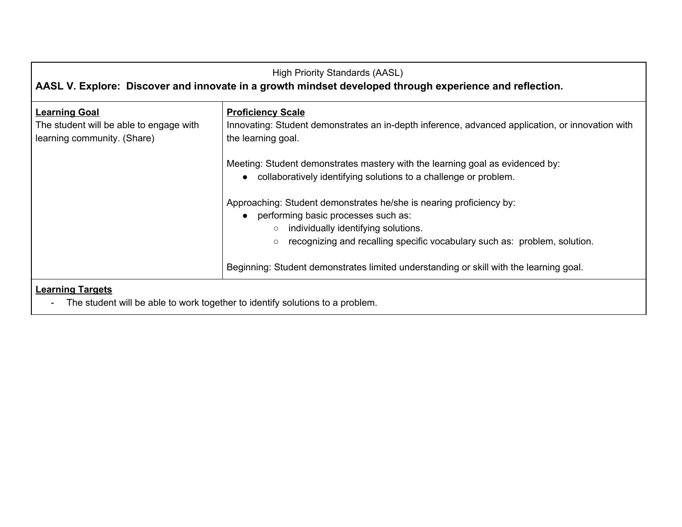| <b>High Priority Standards (AASL)</b><br>AASL V. Explore: Discover and innovate in a growth mindset developed through experience and reflection. |                                                                                                                                                                                                                                                        |
|--------------------------------------------------------------------------------------------------------------------------------------------------|--------------------------------------------------------------------------------------------------------------------------------------------------------------------------------------------------------------------------------------------------------|
| <b>Learning Goal</b><br>The student will be able to engage with<br>learning community. (Share)                                                   | <b>Proficiency Scale</b><br>Innovating: Student demonstrates an in-depth inference, advanced application, or innovation with<br>the learning goal.                                                                                                     |
|                                                                                                                                                  | Meeting: Student demonstrates mastery with the learning goal as evidenced by:<br>• collaboratively identifying solutions to a challenge or problem.                                                                                                    |
|                                                                                                                                                  | Approaching: Student demonstrates he/she is nearing proficiency by:<br>• performing basic processes such as:<br>individually identifying solutions.<br>$\circ$<br>recognizing and recalling specific vocabulary such as: problem, solution.<br>$\circ$ |
|                                                                                                                                                  | Beginning: Student demonstrates limited understanding or skill with the learning goal.                                                                                                                                                                 |
| <b>Learning Targets</b>                                                                                                                          |                                                                                                                                                                                                                                                        |

- The student will be able to work together to identify solutions to a problem.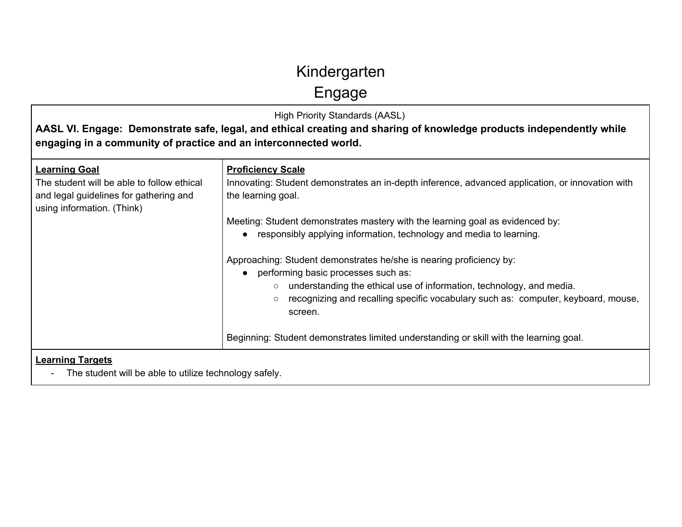Engage

| <b>High Priority Standards (AASL)</b><br>AASL VI. Engage: Demonstrate safe, legal, and ethical creating and sharing of knowledge products independently while<br>engaging in a community of practice and an interconnected world. |                                                                                                                                                                                                                                                                                                          |
|-----------------------------------------------------------------------------------------------------------------------------------------------------------------------------------------------------------------------------------|----------------------------------------------------------------------------------------------------------------------------------------------------------------------------------------------------------------------------------------------------------------------------------------------------------|
| <b>Learning Goal</b><br>The student will be able to follow ethical<br>and legal guidelines for gathering and<br>using information. (Think)                                                                                        | <b>Proficiency Scale</b><br>Innovating: Student demonstrates an in-depth inference, advanced application, or innovation with<br>the learning goal.                                                                                                                                                       |
|                                                                                                                                                                                                                                   | Meeting: Student demonstrates mastery with the learning goal as evidenced by:<br>responsibly applying information, technology and media to learning.                                                                                                                                                     |
|                                                                                                                                                                                                                                   | Approaching: Student demonstrates he/she is nearing proficiency by:<br>performing basic processes such as:<br>understanding the ethical use of information, technology, and media.<br>$\circ$<br>recognizing and recalling specific vocabulary such as: computer, keyboard, mouse,<br>$\circ$<br>screen. |
|                                                                                                                                                                                                                                   | Beginning: Student demonstrates limited understanding or skill with the learning goal.                                                                                                                                                                                                                   |
| <b>Learning Targets</b><br>The student will be able to utilize technology safely.                                                                                                                                                 |                                                                                                                                                                                                                                                                                                          |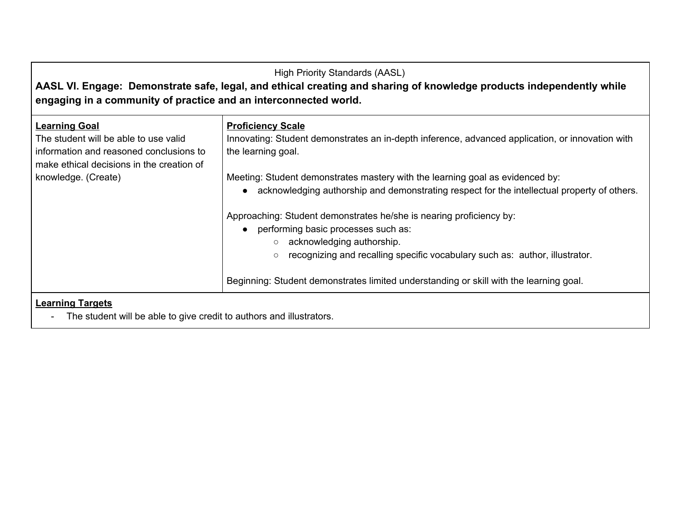| <b>High Priority Standards (AASL)</b><br>AASL VI. Engage: Demonstrate safe, legal, and ethical creating and sharing of knowledge products independently while<br>engaging in a community of practice and an interconnected world. |                                                                                                                                                                                                                                                                  |
|-----------------------------------------------------------------------------------------------------------------------------------------------------------------------------------------------------------------------------------|------------------------------------------------------------------------------------------------------------------------------------------------------------------------------------------------------------------------------------------------------------------|
| <b>Learning Goal</b><br>The student will be able to use valid<br>information and reasoned conclusions to<br>make ethical decisions in the creation of                                                                             | <b>Proficiency Scale</b><br>Innovating: Student demonstrates an in-depth inference, advanced application, or innovation with<br>the learning goal.                                                                                                               |
| knowledge. (Create)                                                                                                                                                                                                               | Meeting: Student demonstrates mastery with the learning goal as evidenced by:<br>acknowledging authorship and demonstrating respect for the intellectual property of others.<br>$\bullet$<br>Approaching: Student demonstrates he/she is nearing proficiency by: |
|                                                                                                                                                                                                                                   | performing basic processes such as:<br>$\bullet$<br>acknowledging authorship.<br>$\circ$<br>recognizing and recalling specific vocabulary such as: author, illustrator.<br>$\circ$                                                                               |
|                                                                                                                                                                                                                                   | Beginning: Student demonstrates limited understanding or skill with the learning goal.                                                                                                                                                                           |
| <b>Learning Targets</b><br>The student will be able to give credit to authors and illustrators.<br>$\blacksquare$                                                                                                                 |                                                                                                                                                                                                                                                                  |